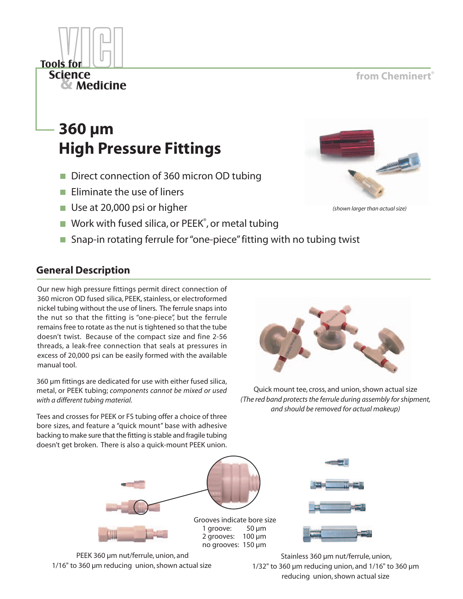## from Cheminert®

(shown larger than actual size)



- Direct connection of 360 micron OD tubing
- $\blacksquare$  Fliminate the use of liners
- Use at 20,000 psi or higher
- $\blacksquare$  Work with fused silica, or PEEK<sup>®</sup>, or metal tubing
- Snap-in rotating ferrule for "one-piece" fitting with no tubing twist

## **General Description**

**Tools for Science** 

& Medicine

Our new high pressure fittings permit direct connection of 360 micron OD fused silica, PEEK, stainless, or electroformed nickel tubing without the use of liners. The ferrule snaps into the nut so that the fitting is "one-piece", but the ferrule remains free to rotate as the nut is tightened so that the tube doesn't twist. Because of the compact size and fine 2-56 threads, a leak-free connection that seals at pressures in excess of 20,000 psi can be easily formed with the available manual tool.

360 µm fittings are dedicated for use with either fused silica, metal, or PEEK tubing; components cannot be mixed or used with a different tubing material.

Tees and crosses for PEEK or FS tubing offer a choice of three bore sizes, and feature a "quick mount" base with adhesive backing to make sure that the fitting is stable and fragile tubing doesn't get broken. There is also a quick-mount PEEK union.



Quick mount tee, cross, and union, shown actual size (The red band protects the ferrule during assembly for shipment, and should be removed for actual makeup)



no grooves: 150 µm



PEEK 360 µm nut/ferrule, union, and 1/16" to 360 µm reducing union, shown actual size

Stainless 360 µm nut/ferrule, union,  $1/32$ " to 360 µm reducing union, and  $1/16$ " to 360 µm reducing union, shown actual size